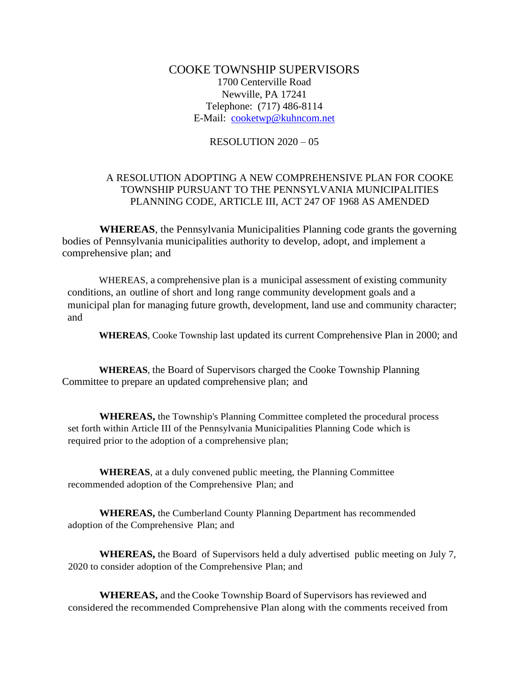## COOKE TOWNSHIP SUPERVISORS 1700 Centerville Road Newville, PA 17241 Telephone: (717) 486-8114 E-Mail: [cooketwp@kuhncom.net](mailto:cooketwp@kuhncom.net)

## RESOLUTION 2020 – 05

## A RESOLUTION ADOPTING A NEW COMPREHENSIVE PLAN FOR COOKE TOWNSHIP PURSUANT TO THE PENNSYLVANIA MUNICIPALITIES PLANNING CODE, ARTICLE III, ACT 247 OF 1968 AS AMENDED

**WHEREAS**, the Pennsylvania Municipalities Planning code grants the governing bodies of Pennsylvania municipalities authority to develop, adopt, and implement a comprehensive plan; and

WHEREAS, a comprehensive plan is a municipal assessment of existing community conditions, an outline of short and long range community development goals and a municipal plan for managing future growth, development, land use and community character; and

**WHEREAS**, Cooke Township last updated its current Comprehensive Plan in 2000; and

**WHEREAS**, the Board of Supervisors charged the Cooke Township Planning Committee to prepare an updated comprehensive plan; and

**WHEREAS,** the Township's Planning Committee completed the procedural process set forth within Article III of the Pennsylvania Municipalities Planning Code which is required prior to the adoption of a comprehensive plan;

**WHEREAS**, at a duly convened public meeting, the Planning Committee recommended adoption of the Comprehensive Plan; and

**WHEREAS,** the Cumberland County Planning Department has recommended adoption of the Comprehensive Plan; and

**WHEREAS,** the Board of Supervisors held a duly advertised public meeting on July 7, 2020 to consider adoption of the Comprehensive Plan; and

**WHEREAS,** and theCooke Township Board of Supervisors has reviewed and considered the recommended Comprehensive Plan along with the comments received from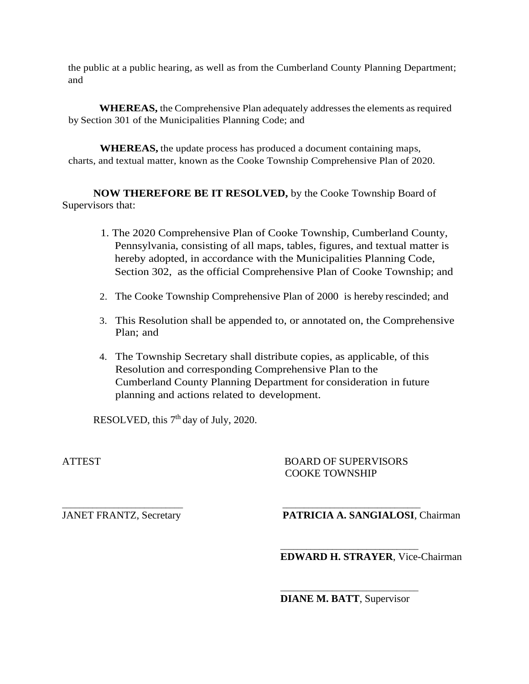the public at a public hearing, as well as from the Cumberland County Planning Department; and

**WHEREAS,** the Comprehensive Plan adequately addressesthe elements asrequired by Section 301 of the Municipalities Planning Code; and

**WHEREAS,** the update process has produced a document containing maps, charts, and textual matter, known as the Cooke Township Comprehensive Plan of 2020.

**NOW THEREFORE BE IT RESOLVED,** by the Cooke Township Board of Supervisors that:

- 1. The 2020 Comprehensive Plan of Cooke Township, Cumberland County, Pennsylvania, consisting of all maps, tables, figures, and textual matter is hereby adopted, in accordance with the Municipalities Planning Code, Section 302, as the official Comprehensive Plan of Cooke Township; and
- 2. The Cooke Township Comprehensive Plan of 2000 is hereby rescinded; and
- 3. This Resolution shall be appended to, or annotated on, the Comprehensive Plan; and
- 4. The Township Secretary shall distribute copies, as applicable, of this Resolution and corresponding Comprehensive Plan to the Cumberland County Planning Department for consideration in future planning and actions related to development.

\_\_\_\_\_\_\_\_\_\_\_\_\_\_\_\_\_\_\_\_\_\_\_\_\_\_\_\_ \_\_\_\_\_\_\_\_\_\_\_\_\_\_\_\_\_\_\_\_\_\_\_\_\_\_\_\_\_\_\_\_

\_\_\_\_\_\_\_\_\_\_\_\_\_\_\_\_\_\_\_\_\_\_\_\_\_\_\_\_\_\_\_\_

 $\overline{\phantom{a}}$  , and the state of the state of the state of the state of the state of the state of the state of the state of the state of the state of the state of the state of the state of the state of the state of the stat

RESOLVED, this  $7<sup>th</sup>$  day of July, 2020.

ATTEST BOARD OF SUPERVISORS COOKE TOWNSHIP

JANET FRANTZ, Secretary **PATRICIA A. SANGIALOSI**, Chairman

**EDWARD H. STRAYER**, Vice-Chairman

**DIANE M. BATT**, Supervisor